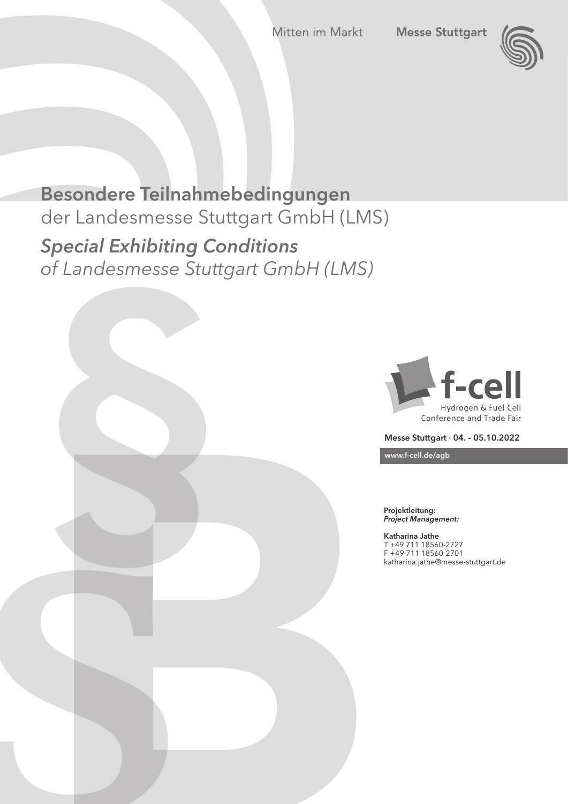

Besondere Teilnahmebedingungen der Landesmesse Stuttgart GmbH (LMS) *Special Exhibiting Conditions of Landesmesse Stuttgart GmbH (LMS)*





Messe Stuttgart · 04. – 05.10.2022

www.f-cell.de/agb

Projektleitung: *Project Management:*

Katharina Jathe T +49 711 18560-2727 F +49 711 18560-2701 katharina.jathe@messe-stuttgart.de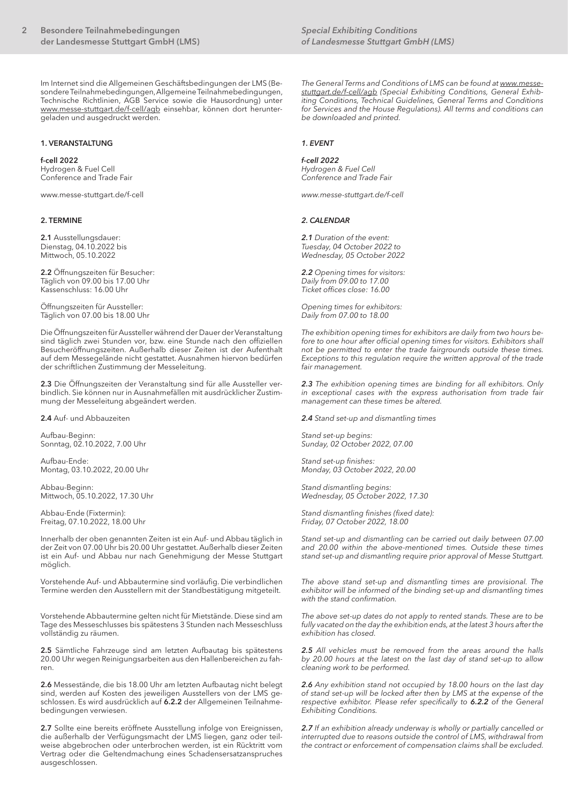Im Internet sind die Allgemeinen Geschäftsbedingungen der LMS (Besondere Teilnahmebedingungen, Allgemeine Teilnahmebedingungen, Technische Richtlinien, AGB Service sowie die Hausordnung) unter www.messe-stuttgart.de/f-cell/agb einsehbar, können dort heruntergeladen und ausgedruckt werden.

### 1. VERANSTALTUNG

f-cell 2022 Hydrogen & Fuel Cell Conference and Trade Fair

www.messe-stuttgart.de/f-cell

#### 2. TERMINE

2.1 Ausstellungsdauer: Dienstag, 04.10.2022 bis Mittwoch, 05.10.2022

2.2 Öffnungszeiten für Besucher: Täglich von 09.00 bis 17.00 Uhr Kassenschluss: 16.00 Uhr

Öffnungszeiten für Aussteller: Täglich von 07.00 bis 18.00 Uhr

Die Öffnungszeiten für Aussteller während der Dauer der Veranstaltung sind täglich zwei Stunden vor, bzw. eine Stunde nach den offiziellen Besucheröffnungszeiten. Außerhalb dieser Zeiten ist der Aufenthalt auf dem Messegelände nicht gestattet. Ausnahmen hiervon bedürfen der schriftlichen Zustimmung der Messeleitung.

2.3 Die Öffnungszeiten der Veranstaltung sind für alle Aussteller verbindlich. Sie können nur in Ausnahmefällen mit ausdrücklicher Zustimmung der Messeleitung abgeändert werden.

#### 2.4 Auf- und Abbauzeiten

Aufbau-Beginn: Sonntag, 02.10.2022, 7.00 Uhr

Aufbau-Ende: Montag, 03.10.2022, 20.00 Uhr

Abbau-Beginn: Mittwoch, 05.10.2022, 17.30 Uhr

Abbau-Ende (Fixtermin): Freitag, 07.10.2022, 18.00 Uhr

Innerhalb der oben genannten Zeiten ist ein Auf- und Abbau täglich in der Zeit von 07.00 Uhr bis 20.00 Uhr gestattet. Außerhalb dieser Zeiten ist ein Auf- und Abbau nur nach Genehmigung der Messe Stuttgart möglich.

Vorstehende Auf- und Abbautermine sind vorläufig. Die verbindlichen Termine werden den Ausstellern mit der Standbestätigung mitgeteilt.

Vorstehende Abbautermine gelten nicht für Mietstände. Diese sind am Tage des Messeschlusses bis spätestens 3 Stunden nach Messeschluss vollständig zu räumen.

2.5 Sämtliche Fahrzeuge sind am letzten Aufbautag bis spätestens 20.00 Uhr wegen Reinigungsarbeiten aus den Hallenbereichen zu fahren.

2.6 Messestände, die bis 18.00 Uhr am letzten Aufbautag nicht belegt sind, werden auf Kosten des jeweiligen Ausstellers von der LMS geschlossen. Es wird ausdrücklich auf 6.2.2 der Allgemeinen Teilnahmebedingungen verwiesen.

2.7 Sollte eine bereits eröffnete Ausstellung infolge von Ereignissen, die außerhalb der Verfügungsmacht der LMS liegen, ganz oder teilweise abgebrochen oder unterbrochen werden, ist ein Rücktritt vom Vertrag oder die Geltendmachung eines Schadensersatzanspruches ausgeschlossen.

*The General Terms and Conditions of LMS can be found at www.messestuttgart.de/f-cell/agb (Special Exhibiting Conditions, General Exhibiting Conditions, Technical Guidelines, General Terms and Conditions for Services and the House Regulations). All terms and conditions can be downloaded and printed.* 

### *1. EVENT*

*f-cell 2022*

*Hydrogen & Fuel Cell Conference and Trade Fair* 

*www.messe-stuttgart.de/f-cell*

#### *2. CALENDAR*

*2.1 Duration of the event: Tuesday, 04 October 2022 to Wednesday, 05 October 2022*

*2.2 Opening times for visitors: Daily from 09.00 to 17.00 Ticket offices close: 16.00*

*Opening times for exhibitors: Daily from 07.00 to 18.00*

*The exhibition opening times for exhibitors are daily from two hours before to one hour after official opening times for visitors. Exhibitors shall not be permitted to enter the trade fairgrounds outside these times. Exceptions to this regulation require the written approval of the trade fair management.*

*2.3 The exhibition opening times are binding for all exhibitors. Only in exceptional cases with the express authorisation from trade fair management can these times be altered.* 

*2.4 Stand set-up and dismantling times*

*Stand set-up begins: Sunday, 02 October 2022, 07.00*

*Stand set-up finishes: Monday, 03 October 2022, 20.00*

*Stand dismantling begins: Wednesday, 05 October 2022, 17.30*

*Stand dismantling finishes (fixed date): Friday, 07 October 2022, 18.00*

*Stand set-up and dismantling can be carried out daily between 07.00 and 20.00 within the above-mentioned times. Outside these times stand set-up and dismantling require prior approval of Messe Stuttgart.*

*The above stand set-up and dismantling times are provisional. The exhibitor will be informed of the binding set-up and dismantling times with the stand confirmation.* 

*The above set-up dates do not apply to rented stands. These are to be fully vacated on the day the exhibition ends, at the latest 3 hours after the exhibition has closed.*

*2.5 All vehicles must be removed from the areas around the halls by 20.00 hours at the latest on the last day of stand set-up to allow cleaning work to be performed.*

*2.6 Any exhibition stand not occupied by 18.00 hours on the last day of stand set-up will be locked after then by LMS at the expense of the respective exhibitor. Please refer specifically to 6.2.2 of the General Exhibiting Conditions.*

*2.7 If an exhibition already underway is wholly or partially cancelled or interrupted due to reasons outside the control of LMS, withdrawal from the contract or enforcement of compensation claims shall be excluded.*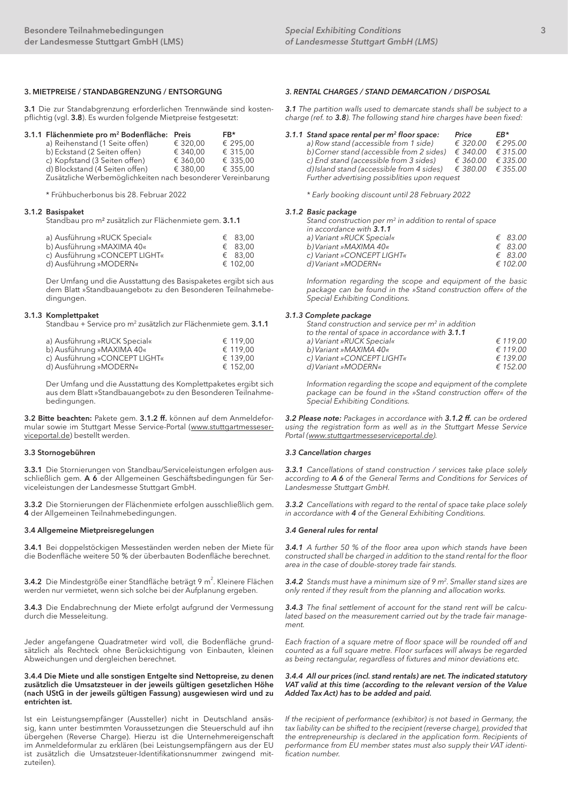3

### 3. MIETPREISE / STANDABGRENZUNG / ENTSORGUNG

3.1 Die zur Standabgrenzung erforderlichen Trennwände sind kostenpflichtig (vgl. 3.8). Es wurden folgende Mietpreise festgesetzt:

| 3.1.1 Flächenmiete pro m <sup>2</sup> Bodenfläche: Preis |            | FR*        |
|----------------------------------------------------------|------------|------------|
| a) Reihenstand (1 Seite offen)                           | € 320,00   | € 295,00   |
| b) Eckstand (2 Soiton offon)                             | $F$ 310 00 | $£$ 315 00 |

| b) Eckstand (2 Seiten offen)                                | € 340.00 | € 315.00 |
|-------------------------------------------------------------|----------|----------|
| c) Kopfstand (3 Seiten offen)                               | € 360.00 | € 335.00 |
| d) Blockstand (4 Seiten offen)                              | € 380.00 | € 355.00 |
| Zusätzliche Werbemöglichkeiten nach besonderer Vereinbarung |          |          |

\* Frühbucherbonus bis 28. Februar 2022

### 3.1.2 Basispaket

Standbau pro m² zusätzlich zur Flächenmiete gem. 3.1.1

| a) Ausführung »RUCK Special«  | € 83.00  |
|-------------------------------|----------|
| b) Ausführung »MAXIMA 40«     | € 83.00  |
| c) Ausführung »CONCEPT LIGHT« | € 83.00  |
| d) Ausführung »MODERN«        | € 102.00 |

 Der Umfang und die Ausstattung des Basispaketes ergibt sich aus dem Blatt »Standbauangebot« zu den Besonderen Teilnahmebedingungen.

### 3.1.3 Komplettpaket

Standbau + Service pro m2 zusätzlich zur Flächenmiete gem. 3.1.1

| a) Ausführung »RUCK Special«  | € 119.00 |
|-------------------------------|----------|
| b) Ausführung »MAXIMA 40«     | € 119.00 |
| c) Ausführung »CONCEPT LIGHT« | € 139.00 |
| d) Ausführung »MODERN«        | € 152.00 |

 Der Umfang und die Ausstattung des Komplettpaketes ergibt sich aus dem Blatt »Standbauangebot« zu den Besonderen Teilnahmebedingungen.

3.2 Bitte beachten: Pakete gem. 3.1.2 ff. können auf dem Anmeldeformular sowie im Stuttgart Messe Service-Portal (www.stuttgartmesseserviceportal.de) bestellt werden.

### 3.3 Stornogebühren

3.3.1 Die Stornierungen von Standbau/Serviceleistungen erfolgen ausschließlich gem. A 6 der Allgemeinen Geschäftsbedingungen für Serviceleistungen der Landesmesse Stuttgart GmbH.

3.3.2 Die Stornierungen der Flächenmiete erfolgen ausschließlich gem. 4 der Allgemeinen Teilnahmebedingungen.

### 3.4 Allgemeine Mietpreisregelungen

3.4.1 Bei doppelstöckigen Messeständen werden neben der Miete für die Bodenfläche weitere 50 % der überbauten Bodenfläche berechnet.

**3.4.2** Die Mindestgröße einer Standfläche beträgt 9 m<sup>2</sup>. Kleinere Flächen werden nur vermietet, wenn sich solche bei der Aufplanung ergeben.

3.4.3 Die Endabrechnung der Miete erfolgt aufgrund der Vermessung durch die Messeleitung.

Jeder angefangene Quadratmeter wird voll, die Bodenfläche grundsätzlich als Rechteck ohne Berücksichtigung von Einbauten, kleinen Abweichungen und dergleichen berechnet.

### 3.4.4 Die Miete und alle sonstigen Entgelte sind Nettopreise, zu denen zusätzlich die Umsatzsteuer in der jeweils gültigen gesetzlichen Höhe (nach UStG in der jeweils gültigen Fassung) ausgewiesen wird und zu entrichten ist.

Ist ein Leistungsempfänger (Aussteller) nicht in Deutschland ansässig, kann unter bestimmten Voraussetzungen die Steuerschuld auf ihn übergehen (Reverse Charge). Hierzu ist die Unternehmereigenschaft im Anmeldeformular zu erklären (bei Leistungsempfängern aus der EU ist zusätzlich die Umsatzsteuer-Identifikationsnummer zwingend mitzuteilen).

# *3. RENTAL CHARGES / STAND DEMARCATION / DISPOSAL*

*3.1 The partition walls used to demarcate stands shall be subject to a charge (ref. to 3.8). The following stand hire charges have been fixed:* 

| 3.1.1 Stand space rental per m <sup>2</sup> floor space: | Price    | EB*               |
|----------------------------------------------------------|----------|-------------------|
| a) Row stand (accessible from 1 side)                    | € 320.00 | € 295.00          |
| b) Corner stand (accessible from 2 sides)                | € 340.00 | € 315.00          |
| c) End stand (accessible from 3 sides)                   | € 360.00 | € 335.00          |
| d) Island stand (accessible from 4 sides)                | € 380.00 | $\epsilon$ 355.00 |
| Further advertising possiblities upon request            |          |                   |

*\* Early booking discount until 28 February 2022*

### *3.1.2 Basic package*

 *Stand construction per m2 in addition to rental of space in accordance with 3.1.1 a) Variant »RUCK Special« € 83.00 b)Variant »MAXIMA 40« € 83.00 c) Variant »CONCEPT LIGHT« € 83.00 d)Variant »MODERN«* 

 *Information regarding the scope and equipment of the basic package can be found in the »Stand construction offer« of the Special Exhibiting Conditions.*

#### *3.1.3 Complete package*

*Stand construction and service per m2 in addition* 

| to the rental of space in accordance with 3.1.1 |                   |
|-------------------------------------------------|-------------------|
| a) Variant »RUCK Special«                       | $\epsilon$ 119.00 |
| b) Variant »MAXIMA 40«                          | $\epsilon$ 119.00 |
| c) Variant »CONCEPT LIGHT«                      | € 139.00          |
| d) Variant »MODERN«                             | € 152.00          |

 *Information regarding the scope and equipment of the complete package can be found in the »Stand construction offer« of the Special Exhibiting Conditions.* 

*3.2 Please note: Packages in accordance with 3.1.2 ff. can be ordered using the registration form as well as in the Stuttgart Messe Service Portal (www.stuttgartmesseserviceportal.de).* 

### *3.3 Cancellation charges*

*3.3.1 Cancellations of stand construction / services take place solely according to A 6 of the General Terms and Conditions for Services of Landesmesse Stuttgart GmbH.* 

*3.3.2 Cancellations with regard to the rental of space take place solely in accordance with 4 of the General Exhibiting Conditions.*

### *3.4 General rules for rental*

*3.4.1 A further 50 % of the floor area upon which stands have been constructed shall be charged in addition to the stand rental for the floor area in the case of double-storey trade fair stands.*

*3.4.2 Stands must have a minimum size of 9 m2. Smaller stand sizes are only rented if they result from the planning and allocation works.* 

*3.4.3 The final settlement of account for the stand rent will be calculated based on the measurement carried out by the trade fair management.*

*Each fraction of a square metre of floor space will be rounded off and counted as a full square metre. Floor surfaces will always be regarded as being rectangular, regardless of fixtures and minor deviations etc.*

#### *3.4.4 All our prices (incl. stand rentals) are net. The indicated statutory VAT valid at this time (according to the relevant version of the Value Added Tax Act) has to be added and paid.*

*If the recipient of performance (exhibitor) is not based in Germany, the tax liability can be shifted to the recipient (reverse charge), provided that the entrepreneurship is declared in the application form. Recipients of performance from EU member states must also supply their VAT identification number.*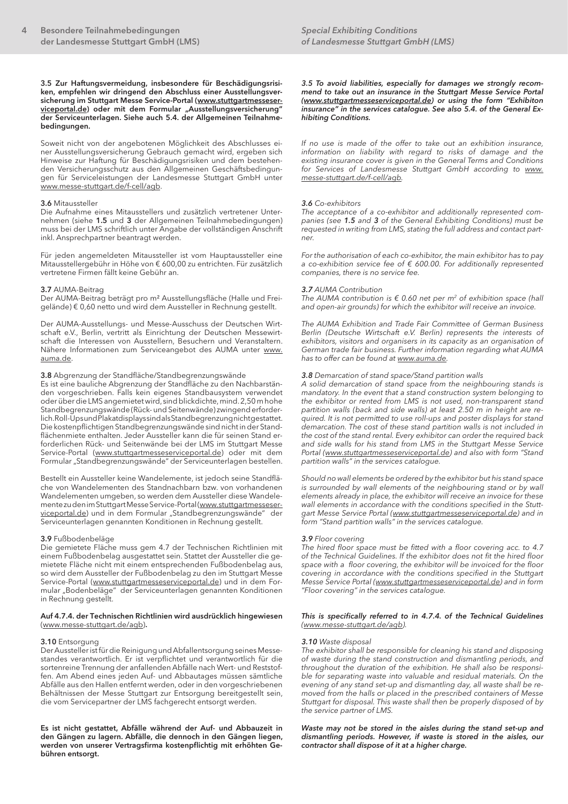Soweit nicht von der angebotenen Möglichkeit des Abschlusses einer Ausstellungsversicherung Gebrauch gemacht wird, ergeben sich Hinweise zur Haftung für Beschädigungsrisiken und dem bestehenden Versicherungsschutz aus den Allgemeinen Geschäftsbedingungen für Serviceleistungen der Landesmesse Stuttgart GmbH unter www.messe-stuttgart.de/f-cell/agb.

### 3.6 Mitaussteller

Die Aufnahme eines Mitausstellers und zusätzlich vertretener Unternehmen (siehe 1.5 und 3 der Allgemeinen Teilnahmebedingungen) muss bei der LMS schriftlich unter Angabe der vollständigen Anschrift inkl. Ansprechpartner beantragt werden.

Für jeden angemeldeten Mitaussteller ist vom Hauptaussteller eine Mitausstellergebühr in Höhe von € 600,00 zu entrichten. Für zusätzlich vertretene Firmen fällt keine Gebühr an.

#### 3.7 AUMA-Beitrag

Der AUMA-Beitrag beträgt pro m² Ausstellungsfläche (Halle und Freigelände) € 0,60 netto und wird dem Aussteller in Rechnung gestellt.

Der AUMA-Ausstellungs- und Messe-Ausschuss der Deutschen Wirtschaft e.V., Berlin, vertritt als Einrichtung der Deutschen Messewirtschaft die Interessen von Ausstellern, Besuchern und Veranstaltern. Nähere Informationen zum Serviceangebot des AUMA unter www. auma.de.

#### 3.8 Abgrenzung der Standfläche/Standbegrenzungswände

Es ist eine bauliche Abgrenzung der Standfläche zu den Nachbarständen vorgeschrieben. Falls kein eigenes Standbausystem verwendet oder über die LMS angemietet wird, sind blickdichte, mind. 2,50 m hohe Standbegrenzungswände (Rück- und Seitenwände) zwingend erforderlich. Roll-Ups und Plakatdisplays sind als Standbegrenzung nicht gestattet. Die kostenpflichtigen Standbegrenzungswände sind nicht in der Standflächenmiete enthalten. Jeder Aussteller kann die für seinen Stand erforderlichen Rück- und Seitenwände bei der LMS im Stuttgart Messe Service-Portal (www.stuttgartmesseserviceportal.de) oder mit dem Formular "Standbegrenzungswände" der Serviceunterlagen bestellen.

Bestellt ein Aussteller keine Wandelemente, ist jedoch seine Standfläche von Wandelementen des Standnachbarn bzw. von vorhandenen Wandelementen umgeben, so werden dem Aussteller diese Wandelemente zu den im Stuttgart Messe Service-Portal (www.stuttgartmesseserviceportal.de) und in dem Formular "Standbegrenzungswände" der Serviceunterlagen genannten Konditionen in Rechnung gestellt.

#### 3.9 Fußbodenbeläge

Die gemietete Fläche muss gem 4.7 der Technischen Richtlinien mit einem Fußbodenbelag ausgestattet sein. Stattet der Aussteller die gemietete Fläche nicht mit einem entsprechenden Fußbodenbelag aus, so wird dem Aussteller der Fußbodenbelag zu den im Stuttgart Messe Service-Portal (www.stuttgartmesseserviceportal.de) und in dem Formular "Bodenbeläge" der Serviceunterlagen genannten Konditionen in Rechnung gestellt.

#### Auf 4.7.4. der Technischen Richtlinien wird ausdrücklich hingewiesen (www.messe-stuttgart.de/agb).

#### 3.10 Entsorgung

Der Aussteller ist für die Reinigung und Abfallentsorgung seines Messestandes verantwortlich. Er ist verpflichtet und verantwortlich für die sortenreine Trennung der anfallenden Abfälle nach Wert- und Reststoffen. Am Abend eines jeden Auf- und Abbautages müssen sämtliche Abfälle aus den Hallen entfernt werden, oder in den vorgeschriebenen Behältnissen der Messe Stuttgart zur Entsorgung bereitgestellt sein, die vom Servicepartner der LMS fachgerecht entsorgt werden.

Es ist nicht gestattet, Abfälle während der Auf- und Abbauzeit in den Gängen zu lagern. Abfälle, die dennoch in den Gängen liegen, werden von unserer Vertragsfirma kostenpflichtig mit erhöhten Gebühren entsorgt.

*3.5 To avoid liabilities, especially for damages we strongly recommend to take out an insurance in the Stuttgart Messe Service Portal (www.stuttgartmesseserviceportal.de) or using the form "Exhibiton insurance" in the services catalogue. See also 5.4. of the General Exhibiting Conditions.*

*If no use is made of the offer to take out an exhibition insurance, information on liability with regard to risks of damage and the existing insurance cover is given in the General Terms and Conditions for Services of Landesmesse Stuttgart GmbH according to www. messe-stuttgart.de/f-cell/agb.*

#### *3.6 Co-exhibitors*

*The acceptance of a co-exhibitor and additionally represented companies (see 1.5 and 3 of the General Exhibiting Conditions) must be requested in writing from LMS, stating the full address and contact partner.* 

*For the authorisation of each co-exhibitor, the main exhibitor has to pay a co-exhibition service fee of € 600.00. For additionally represented companies, there is no service fee.*

#### *3.7 AUMA Contribution*

*The AUMA contribution is € 0.60 net per m2 of exhibition space (hall and open-air grounds) for which the exhibitor will receive an invoice.* 

*The AUMA Exhibition and Trade Fair Committee of German Business Berlin (Deutsche Wirtschaft e.V. Berlin) represents the interests of exhibitors, visitors and organisers in its capacity as an organisation of German trade fair business. Further information regarding what AUMA has to offer can be found at www.auma.de.* 

#### *3.8 Demarcation of stand space/Stand partition walls*

*A solid demarcation of stand space from the neighbouring stands is mandatory. In the event that a stand construction system belonging to the exhibitor or rented from LMS is not used, non-transparent stand partition walls (back and side walls) at least 2.50 m in height are required. It is not permitted to use roll-ups and poster displays for stand*  demarcation. The cost of these stand partition walls is not included in *the cost of the stand rental. Every exhibitor can order the required back and side walls for his stand from LMS in the Stuttgart Messe Service Portal (www.stuttgartmesseserviceportal.de) and also with form "Stand partition walls" in the services catalogue.* 

*Should no wall elements be ordered by the exhibitor but his stand space*  is surrounded by wall elements of the neighbouring stand or by wall *elements already in place, the exhibitor will receive an invoice for these wall elements in accordance with the conditions specified in the Stuttgart Messe Service Portal (www.stuttgartmesseserviceportal.de) and in form "Stand partition walls" in the services catalogue.* 

#### *3.9 Floor covering*

*The hired floor space must be fitted with a floor covering acc. to 4.7 of the Technical Guidelines. If the exhibitor does not fit the hired floor space with a floor covering, the exhibitor will be invoiced for the floor covering in accordance with the conditions specified in the Stuttgart Messe Service Portal (www.stuttgartmesseserviceportal.de) and in form "Floor covering" in the services catalogue.*

#### *This is specifically referred to in 4.7.4. of the Technical Guidelines (www.messe-stuttgart.de/agb).*

### *3.10 Waste disposal*

*The exhibitor shall be responsible for cleaning his stand and disposing of waste during the stand construction and dismantling periods, and throughout the duration of the exhibition. He shall also be responsible for separating waste into valuable and residual materials. On the evening of any stand set-up and dismantling day, all waste shall be removed from the halls or placed in the prescribed containers of Messe Stuttgart for disposal. This waste shall then be properly disposed of by the service partner of LMS.*

*Waste may not be stored in the aisles during the stand set-up and dismantling periods. However, if waste is stored in the aisles, our contractor shall dispose of it at a higher charge.*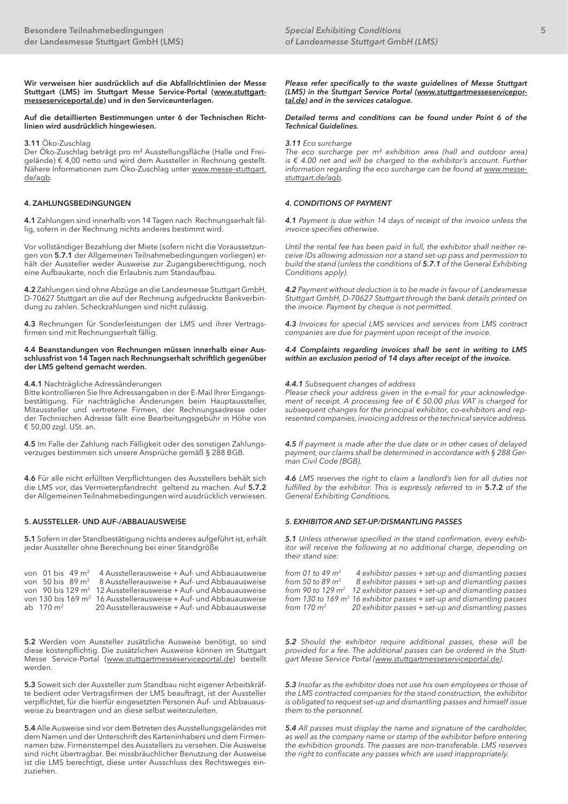Wir verweisen hier ausdrücklich auf die Abfallrichtlinien der Messe Stuttgart (LMS) im Stuttgart Messe Service-Portal (www.stuttgartmesseserviceportal.de) und in den Serviceunterlagen.

Auf die detaillierten Bestimmungen unter 6 der Technischen Richtlinien wird ausdrücklich hingewiesen.

#### 3.11 Öko-Zuschlag

Der Öko-Zuschlag beträgt pro m² Ausstellungsfläche (Halle und Freigelände) € 4,00 netto und wird dem Aussteller in Rechnung gestellt. Nähere Informationen zum Öko-Zuschlag unter www.messe-stuttgart. de/agb.

### 4. ZAHLUNGSBEDINGUNGEN

4.1 Zahlungen sind innerhalb von 14 Tagen nach Rechnungserhalt fällig, sofern in der Rechnung nichts anderes bestimmt wird.

Vor vollständiger Bezahlung der Miete (sofern nicht die Voraussetzungen von 5.7.1 der Allgemeinen Teilnahmebedingungen vorliegen) erhält der Aussteller weder Ausweise zur Zugangsberechtigung, noch eine Aufbaukarte, noch die Erlaubnis zum Standaufbau.

4.2 Zahlungen sind ohne Abzüge an die Landesmesse Stuttgart GmbH, D-70627 Stuttgart an die auf der Rechnung aufgedruckte Bankverbindung zu zahlen. Scheckzahlungen sind nicht zulässig.

4.3 Rechnungen für Sonderleistungen der LMS und ihrer Vertragsfirmen sind mit Rechnungserhalt fällig.

#### 4.4 Beanstandungen von Rechnungen müssen innerhalb einer Ausschlussfrist von 14 Tagen nach Rechnungserhalt schriftlich gegenüber der LMS geltend gemacht werden.

### 4.4.1 Nachträgliche Adressänderungen

Bitte kontrollieren Sie Ihre Adressangaben in der E-Mail Ihrer Eingangsbestätigung. Für nachträgliche Änderungen beim Hauptaussteller, Mitaussteller und vertretene Firmen, der Rechnungsadresse oder der Technischen Adresse fällt eine Bearbeitungsgebühr in Höhe von € 50,00 zzgl. USt. an.

4.5 Im Falle der Zahlung nach Fälligkeit oder des sonstigen Zahlungsverzuges bestimmen sich unsere Ansprüche gemäß § 288 BGB.

4.6 Für alle nicht erfüllten Verpflichtungen des Ausstellers behält sich die LMS vor, das Vermieterpfandrecht geltend zu machen. Auf 5.7.2 der Allgemeinen Teilnahmebedingungen wird ausdrücklich verwiesen.

### 5. AUSSTELLER- UND AUF-/ABBAUAUSWEISE

5.1 Sofern in der Standbestätigung nichts anderes aufgeführt ist, erhält jeder Aussteller ohne Berechnung bei einer Standgröße

|                      | von 01 bis $49 \text{ m}^2$ 4 Ausstellerausweise + Auf- und Abbauausweise     |
|----------------------|-------------------------------------------------------------------------------|
|                      | von 50 bis $89 \text{ m}^2$ 8 Ausstellerausweise + Auf- und Abbauausweise     |
|                      | von 90 bis 129 m <sup>2</sup> 12 Ausstellerausweise + Auf- und Abbauausweise  |
|                      | von 130 bis 169 m <sup>2</sup> 16 Ausstellerausweise + Auf- und Abbauausweise |
| ab $170 \text{ m}^2$ | 20 Ausstellerausweise + Auf- und Abbauausweise                                |

5.2 Werden vom Aussteller zusätzliche Ausweise benötigt, so sind diese kostenpflichtig. Die zusätzlichen Ausweise können im Stuttgart Messe Service-Portal (www.stuttgartmesseserviceportal.de) bestellt werden.

5.3 Soweit sich der Aussteller zum Standbau nicht eigener Arbeitskräfte bedient oder Vertragsfirmen der LMS beauftragt, ist der Aussteller verpflichtet, für die hierfür eingesetzten Personen Auf- und Abbauausweise zu beantragen und an diese selbst weiterzuleiten.

5.4 Alle Ausweise sind vor dem Betreten des Ausstellungsgeländes mit dem Namen und der Unterschrift des Karteninhabers und dem Firmennamen bzw. Firmenstempel des Ausstellers zu versehen. Die Ausweise sind nicht übertragbar. Bei missbräuchlicher Benutzung der Ausweise ist die LMS berechtigt, diese unter Ausschluss des Rechtsweges einzuziehen.

*Please refer specifically to the waste guidelines of Messe Stuttgart (LMS) in the Stuttgart Service Portal (www.stuttgartmesseserviceportal.de) and in the services catalogue.*

*Detailed terms and conditions can be found under Point 6 of the Technical Guidelines.* 

#### *3.11 Eco surcharge*

*The eco surcharge per m² exhibition area (hall and outdoor area) is € 4.00 net and will be charged to the exhibitor's account. Further information regarding the eco surcharge can be found at www.messestuttgart.de/agb.*

### *4. CONDITIONS OF PAYMENT*

*4.1 Payment is due within 14 days of receipt of the invoice unless the invoice specifies otherwise.* 

*Until the rental fee has been paid in full, the exhibitor shall neither receive IDs allowing admission nor a stand set-up pass and permission to build the stand (unless the conditions of 5.7.1 of the General Exhibiting Conditions apply).* 

*4.2 Payment without deduction is to be made in favour of Landesmesse Stuttgart GmbH, D-70627 Stuttgart through the bank details printed on the invoice. Payment by cheque is not permitted.*

*4.3 Invoices for special LMS services and services from LMS contract companies are due for payment upon receipt of the invoice.* 

*4.4 Complaints regarding invoices shall be sent in writing to LMS within an exclusion period of 14 days after receipt of the invoice.*

#### *4.4.1 Subsequent changes of address*

*Please check your address given in the e-mail for your acknowledgement of receipt. A processing fee of € 50.00 plus VAT is charged for subsequent changes for the principal exhibitor, co-exhibitors and represented companies, invoicing address or the technical service address.*

*4.5 If payment is made after the due date or in other cases of delayed payment, our claims shall be determined in accordance with § 288 German Civil Code (BGB).*

*4.6 LMS reserves the right to claim a landlord's lien for all duties not fulfilled by the exhibitor. This is expressly referred to in* 5.7.2 *of the General Exhibiting Conditions.*

### *5. EXHIBITOR AND SET-UP/DISMANTLING PASSES*

*5.1 Unless otherwise specified in the stand confirmation, every exhibitor will receive the following at no additional charge, depending on their stand size:* 

*from 01 to 49 m2 4 exhibitor passes + set-up and dismantling passes from 50 to 89 m2 8 exhibitor passes + set-up and dismantling passes from 90 to 129 m2 12 exhibitor passes + set-up and dismantling passes from 130 to 169 m2 16 exhibitor passes + set-up and dismantling passes from 170 m2 20 exhibitor passes + set-up and dismantling passes* 

*5.2 Should the exhibitor require additional passes, these will be provided for a fee. The additional passes can be ordered in the Stuttgart Messe Service Portal (www.stuttgartmesseserviceportal.de).*

*5.3 Insofar as the exhibitor does not use his own employees or those of the LMS contracted companies for the stand construction, the exhibitor is obligated to request set-up and dismantling passes and himself issue them to the personnel.* 

*5.4 All passes must display the name and signature of the cardholder, as well as the company name or stamp of the exhibitor before entering the exhibition grounds. The passes are non-transferable. LMS reserves the right to confiscate any passes which are used inappropriately.*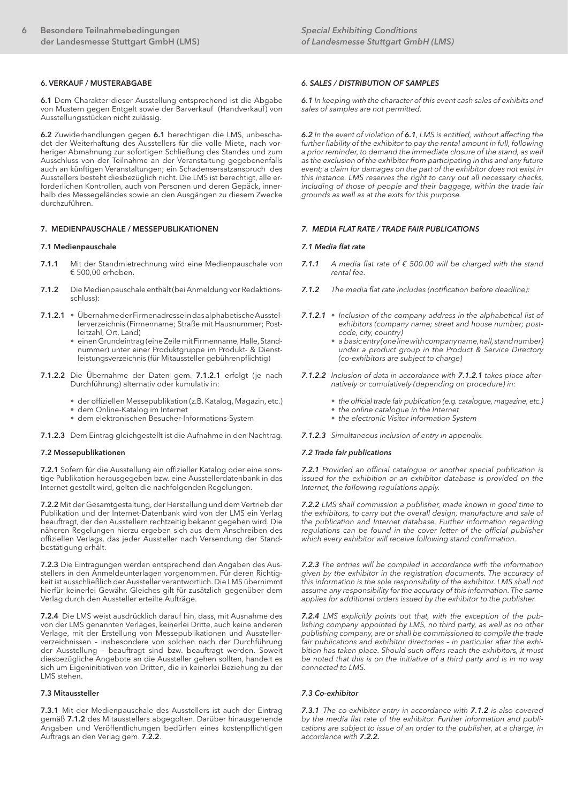### 6. VERKAUF / MUSTERABGABE

6.1 Dem Charakter dieser Ausstellung entsprechend ist die Abgabe von Mustern gegen Entgelt sowie der Barverkauf (Handverkauf) von Ausstellungsstücken nicht zulässig.

6.2 Zuwiderhandlungen gegen 6.1 berechtigen die LMS, unbeschadet der Weiterhaftung des Ausstellers für die volle Miete, nach vorheriger Abmahnung zur sofortigen Schließung des Standes und zum Ausschluss von der Teilnahme an der Veranstaltung gegebenenfalls auch an künftigen Veranstaltungen; ein Schadensersatzanspruch des Ausstellers besteht diesbezüglich nicht. Die LMS ist berechtigt, alle erforderlichen Kontrollen, auch von Personen und deren Gepäck, innerhalb des Messegeländes sowie an den Ausgängen zu diesem Zwecke durchzuführen.

### 7. MEDIENPAUSCHALE / MESSEPUBLIKATIONEN

#### 7.1 Medienpauschale

- 7.1.1 Mit der Standmietrechnung wird eine Medienpauschale von € 500,00 erhoben.
- 7.1.2 Die Medienpauschale enthält (bei Anmeldung vor Redaktionsschluss):
- 7.1.2.1 Übernahme der Firmenadresse in das alphabetische Ausstellerverzeichnis (Firmenname; Straße mit Hausnummer; Postleitzahl, Ort, Land)
	- einen Grundeintrag (eine Zeile mit Firmenname, Halle, Standnummer) unter einer Produktgruppe im Produkt- & Dienstleistungsverzeichnis (für Mitaussteller gebührenpflichtig)
- 7.1.2.2 Die Übernahme der Daten gem. 7.1.2.1 erfolgt (je nach Durchführung) alternativ oder kumulativ in:
	- der offiziellen Messepublikation (z.B. Katalog, Magazin, etc.)
	- dem Online-Katalog im Internet
	- dem elektronischen Besucher-Informations-System

7.1.2.3 Dem Eintrag gleichgestellt ist die Aufnahme in den Nachtrag.

### 7.2 Messepublikationen

7.2.1 Sofern für die Ausstellung ein offizieller Katalog oder eine sonstige Publikation herausgegeben bzw. eine Ausstellerdatenbank in das Internet gestellt wird, gelten die nachfolgenden Regelungen.

7.2.2 Mit der Gesamtgestaltung, der Herstellung und dem Vertrieb der Publikation und der Internet-Datenbank wird von der LMS ein Verlag beauftragt, der den Ausstellern rechtzeitig bekannt gegeben wird. Die näheren Regelungen hierzu ergeben sich aus dem Anschreiben des offiziellen Verlags, das jeder Aussteller nach Versendung der Standbestätigung erhält.

7.2.3 Die Eintragungen werden entsprechend den Angaben des Ausstellers in den Anmeldeunterlagen vorgenommen. Für deren Richtigkeit ist ausschließlich der Aussteller verantwortlich. Die LMS übernimmt hierfür keinerlei Gewähr. Gleiches gilt für zusätzlich gegenüber dem Verlag durch den Aussteller erteilte Aufträge.

7.2.4 Die LMS weist ausdrücklich darauf hin, dass, mit Ausnahme des von der LMS genannten Verlages, keinerlei Dritte, auch keine anderen Verlage, mit der Erstellung von Messepublikationen und Ausstellerverzeichnissen – insbesondere von solchen nach der Durchführung der Ausstellung – beauftragt sind bzw. beauftragt werden. Soweit diesbezügliche Angebote an die Aussteller gehen sollten, handelt es sich um Eigeninitiativen von Dritten, die in keinerlei Beziehung zu der LMS stehen.

### 7.3 Mitaussteller

7.3.1 Mit der Medienpauschale des Ausstellers ist auch der Eintrag gemäß 7.1.2 des Mitausstellers abgegolten. Darüber hinausgehende Angaben und Veröffentlichungen bedürfen eines kostenpflichtigen Auftrags an den Verlag gem. 7.2.2.

### *6. SALES / DISTRIBUTION OF SAMPLES*

*6.1 In keeping with the character of this event cash sales of exhibits and sales of samples are not permitted.*

*6.2 In the event of violation of 6.1, LMS is entitled, without affecting the further liability of the exhibitor to pay the rental amount in full, following a prior reminder, to demand the immediate closure of the stand, as well as the exclusion of the exhibitor from participating in this and any future*  event; a claim for damages on the part of the exhibitor does not exist in *this instance. LMS reserves the right to carry out all necessary checks, including of those of people and their baggage, within the trade fair grounds as well as at the exits for this purpose.*

#### *7. MEDIA FLAT RATE / TRADE FAIR PUBLICATIONS*

### *7.1 Media flat rate*

- *7.1.1 A media flat rate of € 500.00 will be charged with the stand rental fee.*
- *7.1.2 The media flat rate includes (notification before deadline):*
- *7.1.2.1 Inclusion of the company address in the alphabetical list of exhibitors (company name; street and house number; postcode, city, country)*
	- *a basic entry (one line with company name, hall, stand number) under a product group in the Product & Service Directory (co-exhibitors are subject to charge)*
- *7.1.2.2 Inclusion of data in accordance with 7.1.2.1 takes place alternatively or cumulatively (depending on procedure) in:*
	- *the official trade fair publication (e.g. catalogue, magazine, etc.)*
	- *• the online catalogue in the Internet*
	- *• the electronic Visitor Information System*
- *7.1.2.3 Simultaneous inclusion of entry in appendix.*

#### *7.2 Trade fair publications*

*7.2.1 Provided an official catalogue or another special publication is issued for the exhibition or an exhibitor database is provided on the Internet, the following regulations apply.* 

*7.2.2 LMS shall commission a publisher, made known in good time to the exhibitors, to carry out the overall design, manufacture and sale of the publication and Internet database. Further information regarding regulations can be found in the cover letter of the official publisher which every exhibitor will receive following stand confirmation.* 

*7.2.3 The entries will be compiled in accordance with the information given by the exhibitor in the registration documents. The accuracy of this information is the sole responsibility of the exhibitor. LMS shall not assume any responsibility for the accuracy of this information. The same applies for additional orders issued by the exhibitor to the publisher.*

*7.2.4 LMS explicitly points out that, with the exception of the publishing company appointed by LMS, no third party, as well as no other publishing company, are or shall be commissioned to compile the trade fair publications and exhibitor directories – in particular after the exhibition has taken place. Should such offers reach the exhibitors, it must be noted that this is on the initiative of a third party and is in no way connected to LMS.* 

### *7.3 Co-exhibitor*

*7.3.1 The co-exhibitor entry in accordance with 7.1.2 is also covered by the media flat rate of the exhibitor. Further information and publications are subject to issue of an order to the publisher, at a charge, in accordance with 7.2.2.*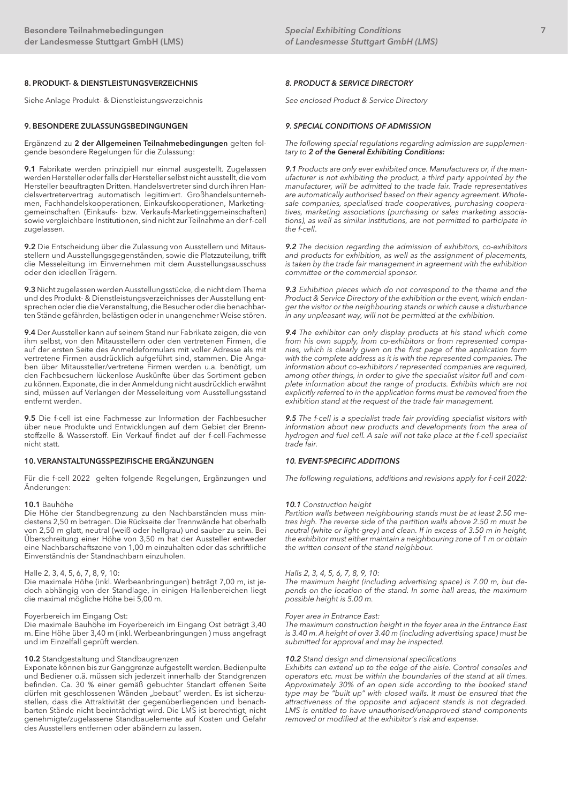7

### 8. PRODUKT- & DIENSTLEISTUNGSVERZEICHNIS

Siehe Anlage Produkt- & Dienstleistungsverzeichnis

### 9. BESONDERE ZULASSUNGSBEDINGUNGEN

Ergänzend zu 2 der Allgemeinen Teilnahmebedingungen gelten folgende besondere Regelungen für die Zulassung:

9.1 Fabrikate werden prinzipiell nur einmal ausgestellt. Zugelassen werden Hersteller oder falls der Hersteller selbst nicht ausstellt, die vom Hersteller beauftragten Dritten. Handelsvertreter sind durch ihren Handelsvertretervertrag automatisch legitimiert. Großhandelsunternehmen, Fachhandelskooperationen, Einkaufskooperationen, Marketinggemeinschaften (Einkaufs- bzw. Verkaufs-Marketinggemeinschaften) sowie vergleichbare Institutionen, sind nicht zur Teilnahme an der f-cell zugelassen.

9.2 Die Entscheidung über die Zulassung von Ausstellern und Mitausstellern und Ausstellungsgegenständen, sowie die Platzzuteilung, trifft die Messeleitung im Einvernehmen mit dem Ausstellungsausschuss oder den ideellen Trägern.

9.3 Nicht zugelassen werden Ausstellungsstücke, die nicht dem Thema und des Produkt- & Dienstleistungsverzeichnisses der Ausstellung entsprechen oder die die Veranstaltung, die Besucher oder die benachbarten Stände gefährden, belästigen oder in unangenehmer Weise stören.

9.4 Der Aussteller kann auf seinem Stand nur Fabrikate zeigen, die von ihm selbst, von den Mitausstellern oder den vertretenen Firmen, die auf der ersten Seite des Anmeldeformulars mit voller Adresse als mit vertretene Firmen ausdrücklich aufgeführt sind, stammen. Die Angaben über Mitaussteller/vertretene Firmen werden u.a. benötigt, um den Fachbesuchern lückenlose Auskünfte über das Sortiment geben zu können. Exponate, die in der Anmeldung nicht ausdrücklich erwähnt sind, müssen auf Verlangen der Messeleitung vom Ausstellungsstand entfernt werden.

9.5 Die f-cell ist eine Fachmesse zur Information der Fachbesucher über neue Produkte und Entwicklungen auf dem Gebiet der Brennstoffzelle & Wasserstoff. Ein Verkauf findet auf der f-cell-Fachmesse nicht statt.

### 10. VERANSTALTUNGSSPEZIFISCHE ERGÄNZUNGEN

Für die f-cell 2022 gelten folgende Regelungen, Ergänzungen und Änderungen:

### 10.1 Bauhöhe

Die Höhe der Standbegrenzung zu den Nachbarständen muss mindestens 2,50 m betragen. Die Rückseite der Trennwände hat oberhalb von 2,50 m glatt, neutral (weiß oder hellgrau) und sauber zu sein. Bei Überschreitung einer Höhe von 3,50 m hat der Aussteller entweder eine Nachbarschaftszone von 1,00 m einzuhalten oder das schriftliche Einverständnis der Standnachbarn einzuholen.

### Halle 2, 3, 4, 5, 6, 7, 8, 9, 10:

Die maximale Höhe (inkl. Werbeanbringungen) beträgt 7,00 m, ist jedoch abhängig von der Standlage, in einigen Hallenbereichen liegt die maximal mögliche Höhe bei 5,00 m.

### Foyerbereich im Eingang Ost:

Die maximale Bauhöhe im Foyerbereich im Eingang Ost beträgt 3,40 m. Eine Höhe über 3,40 m (inkl. Werbeanbringungen ) muss angefragt und im Einzelfall geprüft werden.

### 10.2 Standgestaltung und Standbaugrenzen

Exponate können bis zur Ganggrenze aufgestellt werden. Bedienpulte und Bediener o.ä. müssen sich jederzeit innerhalb der Standgrenzen befinden. Ca. 30 % einer gemäß gebuchter Standart offenen Seite dürfen mit geschlossenen Wänden "bebaut" werden. Es ist sicherzustellen, dass die Attraktivität der gegenüberliegenden und benachbarten Stände nicht beeinträchtigt wird. Die LMS ist berechtigt, nicht genehmigte/zugelassene Standbauelemente auf Kosten und Gefahr des Ausstellers entfernen oder abändern zu lassen.

### *8. PRODUCT & SERVICE DIRECTORY*

*See enclosed Product & Service Directory*

### *9. SPECIAL CONDITIONS OF ADMISSION*

*The following special regulations regarding admission are supplementary to 2 of the General Exhibiting Conditions:*

*9.1 Products are only ever exhibited once. Manufacturers or, if the manufacturer is not exhibiting the product, a third party appointed by the manufacturer, will be admitted to the trade fair. Trade representatives are automatically authorised based on their agency agreement. Wholesale companies, specialised trade cooperatives, purchasing cooperatives, marketing associations (purchasing or sales marketing associations), as well as similar institutions, are not permitted to participate in the f-cell*.

*9.2 The decision regarding the admission of exhibitors, co-exhibitors and products for exhibition, as well as the assignment of placements, is taken by the trade fair management in agreement with the exhibition committee or the commercial sponsor.* 

*9.3 Exhibition pieces which do not correspond to the theme and the Product & Service Directory of the exhibition or the event, which endanger the visitor or the neighbouring stands or which cause a disturbance in any unpleasant way, will not be permitted at the exhibition.* 

*9.4 The exhibitor can only display products at his stand which come from his own supply, from co-exhibitors or from represented companies, which is clearly given on the first page of the application form with the complete address as it is with the represented companies. The information about co-exhibitors / represented companies are required, among other things, in order to give the specialist visitor full and complete information about the range of products. Exhibits which are not explicitly referred to in the application forms must be removed from the exhibition stand at the request of the trade fair management.* 

*9.5 The f-cell is a specialist trade fair providing specialist visitors with information about new products and developments from the area of hydrogen and fuel cell. A sale will not take place at the f-cell specialist trade fair.* 

### *10. EVENT-SPECIFIC ADDITIONS*

*The following regulations, additions and revisions apply for f-cell 2022:*

### *10.1 Construction height*

*Partition walls between neighbouring stands must be at least 2.50 metres high. The reverse side of the partition walls above 2.50 m must be neutral (white or light-grey) and clean. If in excess of 3.50 m in height, the exhibitor must either maintain a neighbouring zone of 1 m or obtain the written consent of the stand neighbour.*

### *Halls 2, 3, 4, 5, 6, 7, 8, 9, 10:*

*The maximum height (including advertising space) is 7.00 m, but depends on the location of the stand. In some hall areas, the maximum possible height is 5.00 m.* 

### *Foyer area in Entrance East:*

*The maximum construction height in the foyer area in the Entrance East is 3.40 m. A height of over 3.40 m (including advertising space) must be submitted for approval and may be inspected.*

### *10.2 Stand design and dimensional specifications*

*Exhibits can extend up to the edge of the aisle. Control consoles and operators etc. must be within the boundaries of the stand at all times. Approximately 30% of an open side according to the booked stand type may be "built up" with closed walls. It must be ensured that the attractiveness of the opposite and adjacent stands is not degraded. LMS is entitled to have unauthorised/unapproved stand components removed or modified at the exhibitor's risk and expense.*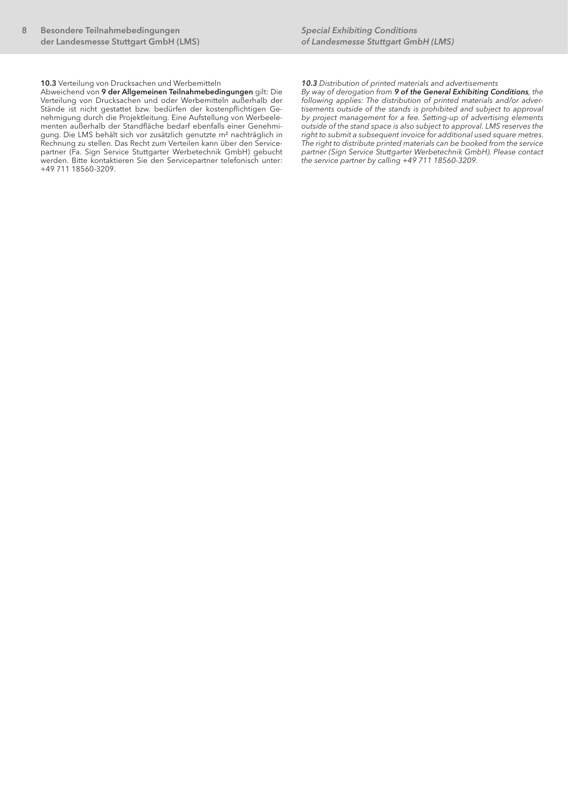## 10.3 Verteilung von Drucksachen und Werbemitteln

Abweichend von 9 der Allgemeinen Teilnahmebedingungen gilt: Die Verteilung von Drucksachen und oder Werbemitteln außerhalb der Stände ist nicht gestattet bzw. bedürfen der kostenpflichtigen Genehmigung durch die Projektleitung. Eine Aufstellung von Werbeelementen außerhalb der Standfläche bedarf ebenfalls einer Genehmigung. Die LMS behält sich vor zusätzlich genutzte m² nachträglich in Rechnung zu stellen. Das Recht zum Verteilen kann über den Servicepartner (Fa. Sign Service Stuttgarter Werbetechnik GmbH) gebucht werden. Bitte kontaktieren Sie den Servicepartner telefonisch unter: +49 711 18560-3209.

*10.3 Distribution of printed materials and advertisements*

*By way of derogation from 9 of the General Exhibiting Conditions, the following applies: The distribution of printed materials and/or advertisements outside of the stands is prohibited and subject to approval by project management for a fee. Setting-up of advertising elements outside of the stand space is also subject to approval. LMS reserves the right to submit a subsequent invoice for additional used square metres. The right to distribute printed materials can be booked from the service partner (Sign Service Stuttgarter Werbetechnik GmbH). Please contact the service partner by calling +49 711 18560-3209.*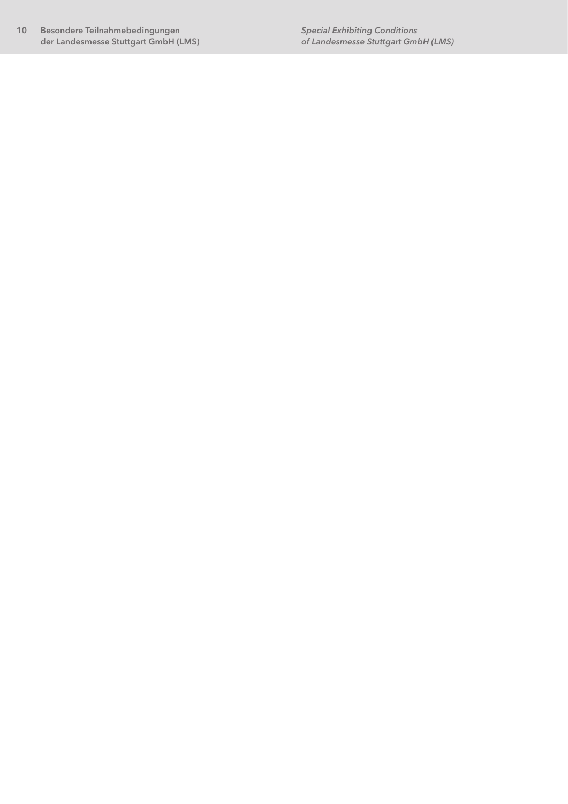10 *Special Exhibiting Conditions* Besondere Teilnahmebedingungen der Landesmesse Stuttgart GmbH (LMS)